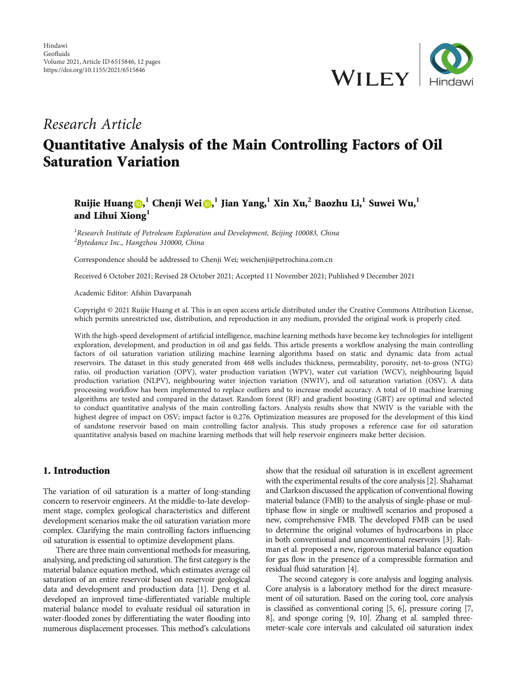

## Research Article

# Quantitative Analysis of the Main Controlling Factors of Oil Saturation Variation

## Ruijie Huang $\textbf{Q},^1$  $\textbf{Q},^1$  $\textbf{Q},^1$  Chenji Wei $\textbf{Q},^1$  Jian Yang, $^1$  Xin Xu, $^2$  Baozhu Li, $^1$  Suwei Wu, $^1$ and Lihui Xiong**<sup>1</sup>**

 ${}^{1}$ Research Institute of Petroleum Exploration and Development, Beijing 100083, China <sup>2</sup>Bytedance Inc., Hangzhou 310000, China

Correspondence should be addressed to Chenji Wei; weichenji@petrochina.com.cn

Received 6 October 2021; Revised 28 October 2021; Accepted 11 November 2021; Published 9 December 2021

Academic Editor: Afshin Davarpanah

Copyright © 2021 Ruijie Huang et al. This is an open access article distributed under the [Creative Commons Attribution License](https://creativecommons.org/licenses/by/4.0/), which permits unrestricted use, distribution, and reproduction in any medium, provided the original work is properly cited.

With the high-speed development of artificial intelligence, machine learning methods have become key technologies for intelligent exploration, development, and production in oil and gas fields. This article presents a workflow analysing the main controlling factors of oil saturation variation utilizing machine learning algorithms based on static and dynamic data from actual reservoirs. The dataset in this study generated from 468 wells includes thickness, permeability, porosity, net-to-gross (NTG) ratio, oil production variation (OPV), water production variation (WPV), water cut variation (WCV), neighbouring liquid production variation (NLPV), neighbouring water injection variation (NWIV), and oil saturation variation (OSV). A data processing workflow has been implemented to replace outliers and to increase model accuracy. A total of 10 machine learning algorithms are tested and compared in the dataset. Random forest (RF) and gradient boosting (GBT) are optimal and selected to conduct quantitative analysis of the main controlling factors. Analysis results show that NWIV is the variable with the highest degree of impact on OSV; impact factor is 0.276. Optimization measures are proposed for the development of this kind of sandstone reservoir based on main controlling factor analysis. This study proposes a reference case for oil saturation quantitative analysis based on machine learning methods that will help reservoir engineers make better decision.

### 1. Introduction

The variation of oil saturation is a matter of long-standing concern to reservoir engineers. At the middle-to-late development stage, complex geological characteristics and different development scenarios make the oil saturation variation more complex. Clarifying the main controlling factors influencing oil saturation is essential to optimize development plans.

There are three main conventional methods for measuring, analysing, and predicting oil saturation. The first category is the material balance equation method, which estimates average oil saturation of an entire reservoir based on reservoir geological data and development and production data [\[1](#page-9-0)]. Deng et al. developed an improved time-differentiated variable multiple material balance model to evaluate residual oil saturation in water-flooded zones by differentiating the water flooding into numerous displacement processes. This method's calculations

show that the residual oil saturation is in excellent agreement with the experimental results of the core analysis [\[2](#page-9-0)]. Shahamat and Clarkson discussed the application of conventional flowing material balance (FMB) to the analysis of single-phase or multiphase flow in single or multiwell scenarios and proposed a new, comprehensive FMB. The developed FMB can be used to determine the original volumes of hydrocarbons in place in both conventional and unconventional reservoirs [\[3\]](#page-9-0). Rahman et al. proposed a new, rigorous material balance equation for gas flow in the presence of a compressible formation and residual fluid saturation [\[4\]](#page-9-0).

The second category is core analysis and logging analysis. Core analysis is a laboratory method for the direct measurement of oil saturation. Based on the coring tool, core analysis is classified as conventional coring [\[5, 6](#page-9-0)], pressure coring [\[7,](#page-9-0) [8\]](#page-9-0), and sponge coring [\[9, 10\]](#page-9-0). Zhang et al. sampled threemeter-scale core intervals and calculated oil saturation index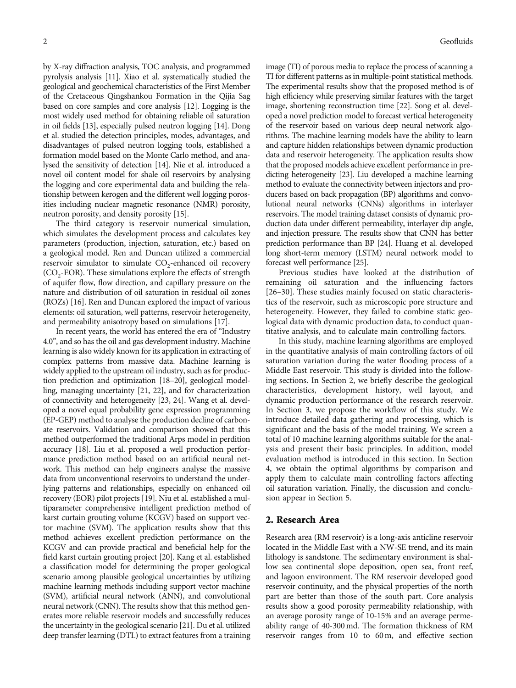by X-ray diffraction analysis, TOC analysis, and programmed pyrolysis analysis [\[11\]](#page-10-0). Xiao et al. systematically studied the geological and geochemical characteristics of the First Member of the Cretaceous Qingshankou Formation in the Qijia Sag based on core samples and core analysis [[12](#page-10-0)]. Logging is the most widely used method for obtaining reliable oil saturation in oil fields [\[13](#page-10-0)], especially pulsed neutron logging [[14](#page-10-0)]. Dong et al. studied the detection principles, modes, advantages, and disadvantages of pulsed neutron logging tools, established a formation model based on the Monte Carlo method, and analysed the sensitivity of detection [\[14\]](#page-10-0). Nie et al. introduced a novel oil content model for shale oil reservoirs by analysing the logging and core experimental data and building the relationship between kerogen and the different well logging porosities including nuclear magnetic resonance (NMR) porosity, neutron porosity, and density porosity [\[15](#page-10-0)].

The third category is reservoir numerical simulation, which simulates the development process and calculates key parameters (production, injection, saturation, etc.) based on a geological model. Ren and Duncan utilized a commercial reservoir simulator to simulate  $CO<sub>2</sub>$ -enhanced oil recovery  $(CO<sub>2</sub>-EOR)$ . These simulations explore the effects of strength of aquifer flow, flow direction, and capillary pressure on the nature and distribution of oil saturation in residual oil zones (ROZs) [\[16\]](#page-10-0). Ren and Duncan explored the impact of various elements: oil saturation, well patterns, reservoir heterogeneity, and permeability anisotropy based on simulations [\[17\]](#page-10-0).

In recent years, the world has entered the era of "Industry 4.0", and so has the oil and gas development industry. Machine learning is also widely known for its application in extracting of complex patterns from massive data. Machine learning is widely applied to the upstream oil industry, such as for production prediction and optimization [\[18](#page-10-0)–[20\]](#page-10-0), geological modelling, managing uncertainty [\[21](#page-10-0), [22](#page-10-0)], and for characterization of connectivity and heterogeneity [\[23](#page-10-0), [24\]](#page-10-0). Wang et al. developed a novel equal probability gene expression programming (EP-GEP) method to analyse the production decline of carbonate reservoirs. Validation and comparison showed that this method outperformed the traditional Arps model in perdition accuracy [[18](#page-10-0)]. Liu et al. proposed a well production performance prediction method based on an artificial neural network. This method can help engineers analyse the massive data from unconventional reservoirs to understand the underlying patterns and relationships, especially on enhanced oil recovery (EOR) pilot projects [[19](#page-10-0)]. Niu et al. established a multiparameter comprehensive intelligent prediction method of karst curtain grouting volume (KCGV) based on support vector machine (SVM). The application results show that this method achieves excellent prediction performance on the KCGV and can provide practical and beneficial help for the field karst curtain grouting project [\[20\]](#page-10-0). Kang et al. established a classification model for determining the proper geological scenario among plausible geological uncertainties by utilizing machine learning methods including support vector machine (SVM), artificial neural network (ANN), and convolutional neural network (CNN). The results show that this method generates more reliable reservoir models and successfully reduces the uncertainty in the geological scenario [[21](#page-10-0)]. Du et al. utilized deep transfer learning (DTL) to extract features from a training

image (TI) of porous media to replace the process of scanning a TI for different patterns as in multiple-point statistical methods. The experimental results show that the proposed method is of high efficiency while preserving similar features with the target image, shortening reconstruction time [\[22\]](#page-10-0). Song et al. developed a novel prediction model to forecast vertical heterogeneity of the reservoir based on various deep neural network algorithms. The machine learning models have the ability to learn and capture hidden relationships between dynamic production data and reservoir heterogeneity. The application results show that the proposed models achieve excellent performance in predicting heterogeneity [\[23\]](#page-10-0). Liu developed a machine learning method to evaluate the connectivity between injectors and producers based on back propagation (BP) algorithms and convolutional neural networks (CNNs) algorithms in interlayer reservoirs. The model training dataset consists of dynamic production data under different permeability, interlayer dip angle, and injection pressure. The results show that CNN has better prediction performance than BP [\[24](#page-10-0)]. Huang et al. developed long short-term memory (LSTM) neural network model to forecast well performance [[25](#page-10-0)].

Previous studies have looked at the distribution of remaining oil saturation and the influencing factors [\[26](#page-10-0)–[30\]](#page-10-0). These studies mainly focused on static characteristics of the reservoir, such as microscopic pore structure and heterogeneity. However, they failed to combine static geological data with dynamic production data, to conduct quantitative analysis, and to calculate main controlling factors.

In this study, machine learning algorithms are employed in the quantitative analysis of main controlling factors of oil saturation variation during the water flooding process of a Middle East reservoir. This study is divided into the following sections. In Section 2, we briefly describe the geological characteristics, development history, well layout, and dynamic production performance of the research reservoir. In Section [3](#page-2-0), we propose the workflow of this study. We introduce detailed data gathering and processing, which is significant and the basis of the model training. We screen a total of 10 machine learning algorithms suitable for the analysis and present their basic principles. In addition, model evaluation method is introduced in this section. In Section [4,](#page-6-0) we obtain the optimal algorithms by comparison and apply them to calculate main controlling factors affecting oil saturation variation. Finally, the discussion and conclusion appear in Section [5.](#page-9-0)

#### 2. Research Area

Research area (RM reservoir) is a long-axis anticline reservoir located in the Middle East with a NW-SE trend, and its main lithology is sandstone. The sedimentary environment is shallow sea continental slope deposition, open sea, front reef, and lagoon environment. The RM reservoir developed good reservoir continuity, and the physical properties of the north part are better than those of the south part. Core analysis results show a good porosity permeability relationship, with an average porosity range of 10-15% and an average permeability range of 40-300 md. The formation thickness of RM reservoir ranges from 10 to 60 m, and effective section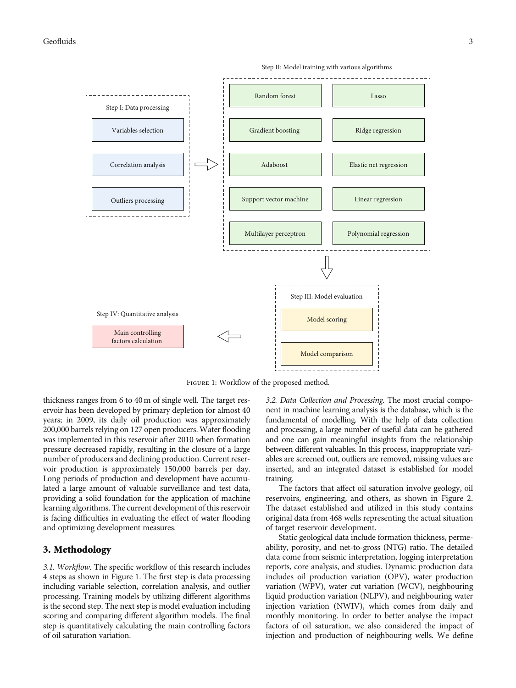

<span id="page-2-0"></span>

Figure 1: Workflow of the proposed method.

thickness ranges from 6 to 40 m of single well. The target reservoir has been developed by primary depletion for almost 40 years; in 2009, its daily oil production was approximately 200,000 barrels relying on 127 open producers. Water flooding was implemented in this reservoir after 2010 when formation pressure decreased rapidly, resulting in the closure of a large number of producers and declining production. Current reservoir production is approximately 150,000 barrels per day. Long periods of production and development have accumulated a large amount of valuable surveillance and test data, providing a solid foundation for the application of machine learning algorithms. The current development of this reservoir is facing difficulties in evaluating the effect of water flooding and optimizing development measures.

#### 3. Methodology

3.1. Workflow. The specific workflow of this research includes 4 steps as shown in Figure 1. The first step is data processing including variable selection, correlation analysis, and outlier processing. Training models by utilizing different algorithms is the second step. The next step is model evaluation including scoring and comparing different algorithm models. The final step is quantitatively calculating the main controlling factors of oil saturation variation.

3.2. Data Collection and Processing. The most crucial component in machine learning analysis is the database, which is the fundamental of modelling. With the help of data collection and processing, a large number of useful data can be gathered and one can gain meaningful insights from the relationship between different valuables. In this process, inappropriate variables are screened out, outliers are removed, missing values are inserted, and an integrated dataset is established for model training.

The factors that affect oil saturation involve geology, oil reservoirs, engineering, and others, as shown in Figure [2.](#page-3-0) The dataset established and utilized in this study contains original data from 468 wells representing the actual situation of target reservoir development.

Static geological data include formation thickness, permeability, porosity, and net-to-gross (NTG) ratio. The detailed data come from seismic interpretation, logging interpretation reports, core analysis, and studies. Dynamic production data includes oil production variation (OPV), water production variation (WPV), water cut variation (WCV), neighbouring liquid production variation (NLPV), and neighbouring water injection variation (NWIV), which comes from daily and monthly monitoring. In order to better analyse the impact factors of oil saturation, we also considered the impact of injection and production of neighbouring wells. We define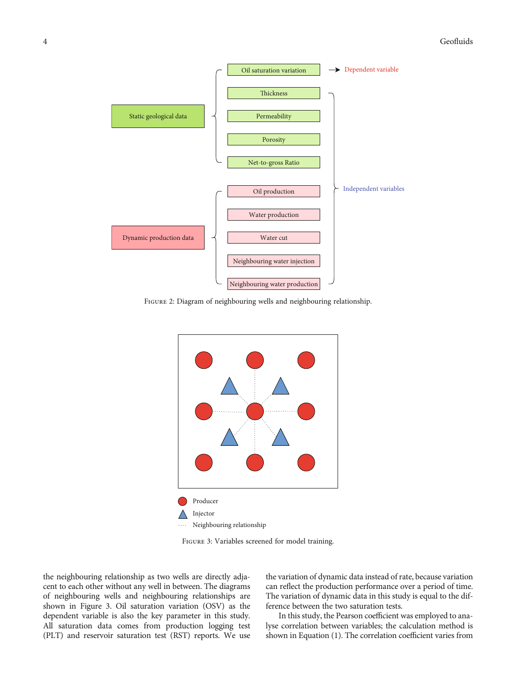<span id="page-3-0"></span>

FIGURE 2: Diagram of neighbouring wells and neighbouring relationship.



Figure 3: Variables screened for model training.

the neighbouring relationship as two wells are directly adjacent to each other without any well in between. The diagrams of neighbouring wells and neighbouring relationships are shown in Figure 3. Oil saturation variation (OSV) as the dependent variable is also the key parameter in this study. All saturation data comes from production logging test (PLT) and reservoir saturation test (RST) reports. We use

the variation of dynamic data instead of rate, because variation can reflect the production performance over a period of time. The variation of dynamic data in this study is equal to the difference between the two saturation tests.

In this study, the Pearson coefficient was employed to analyse correlation between variables; the calculation method is shown in Equation ([1](#page-5-0)). The correlation coefficient varies from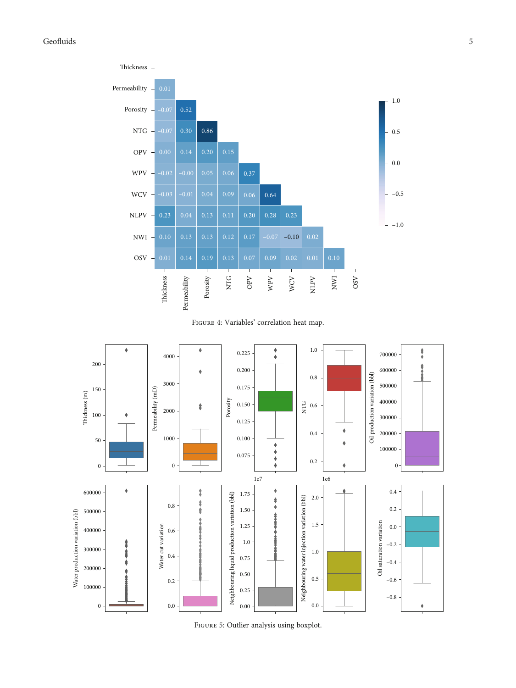## <span id="page-4-0"></span>Geofluids 5







Figure 5: Outlier analysis using boxplot.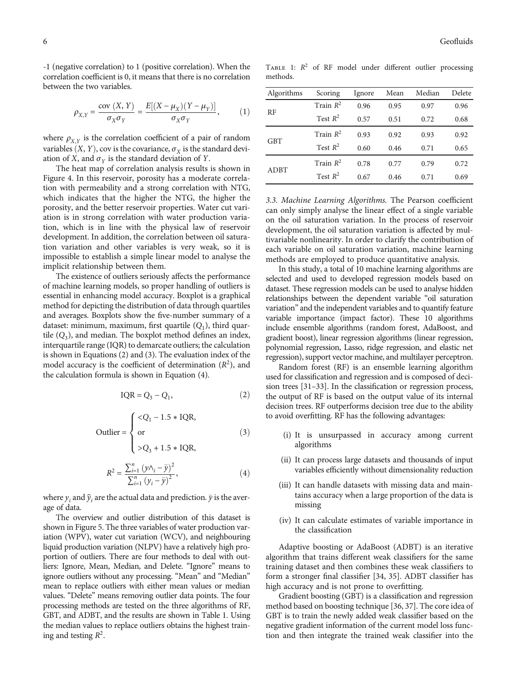<span id="page-5-0"></span>-1 (negative correlation) to 1 (positive correlation). When the correlation coefficient is 0, it means that there is no correlation between the two variables.

$$
\rho_{X,Y} = \frac{\text{cov}(X,Y)}{\sigma_X \sigma_Y} = \frac{E[(X - \mu_X)(Y - \mu_Y)]}{\sigma_X \sigma_Y}, \quad (1)
$$

where  $\rho_{X,Y}$  is the correlation coefficient of a pair of random variables  $(X, Y)$ , cov is the covariance,  $\sigma_X$  is the standard deviation of *X*, and  $\sigma_Y$  is the standard deviation of *Y*.

The heat map of correlation analysis results is shown in Figure [4](#page-4-0). In this reservoir, porosity has a moderate correlation with permeability and a strong correlation with NTG, which indicates that the higher the NTG, the higher the porosity, and the better reservoir properties. Water cut variation is in strong correlation with water production variation, which is in line with the physical law of reservoir development. In addition, the correlation between oil saturation variation and other variables is very weak, so it is impossible to establish a simple linear model to analyse the implicit relationship between them.

The existence of outliers seriously affects the performance of machine learning models, so proper handling of outliers is essential in enhancing model accuracy. Boxplot is a graphical method for depicting the distribution of data through quartiles and averages. Boxplots show the five-number summary of a dataset: minimum, maximum, first quartile (*Q*1), third quartile  $(Q_3)$ , and median. The boxplot method defines an index, interquartile range (IQR) to demarcate outliers; the calculation is shown in Equations (2) and (3). The evaluation index of the model accuracy is the coefficient of determination  $(R^2)$ , and the calculation formula is shown in Equation (4).

$$
IQR = Q_3 - Q_1,\tag{2}
$$

$$
\text{Outlier} = \begin{cases} Q_3 + 1.5 * \text{IQR}, \end{cases} \tag{3}
$$

$$
R^{2} = \frac{\sum_{i=1}^{n} (\gamma \wedge_{i} - \bar{y})^{2}}{\sum_{i=1}^{n} (\gamma_{i} - \bar{y})^{2}},
$$
\n(4)

where  $y_i$  and  $\hat{y}_i$  are the actual data and prediction.  $\bar{y}$  is the average of data.

The overview and outlier distribution of this dataset is shown in Figure [5.](#page-4-0) The three variables of water production variation (WPV), water cut variation (WCV), and neighbouring liquid production variation (NLPV) have a relatively high proportion of outliers. There are four methods to deal with outliers: Ignore, Mean, Median, and Delete. "Ignore" means to ignore outliers without any processing. "Mean" and "Median" mean to replace outliers with either mean values or median values. "Delete" means removing outlier data points. The four processing methods are tested on the three algorithms of RF, GBT, and ADBT, and the results are shown in Table 1. Using the median values to replace outliers obtains the highest training and testing  $R^2$ .

TABLE 1:  $R^2$  of RF model under different outlier processing methods.

| Algorithms  | Scoring     | Ignore | Mean | Median | Delete |
|-------------|-------------|--------|------|--------|--------|
| RF          | Train $R^2$ | 0.96   | 0.95 | 0.97   | 0.96   |
|             | Test $R^2$  | 0.57   | 0.51 | 0.72   | 0.68   |
| <b>GBT</b>  | Train $R^2$ | 0.93   | 0.92 | 0.93   | 0.92   |
|             | Test $R^2$  | 0.60   | 0.46 | 0.71   | 0.65   |
| <b>ADBT</b> | Train $R^2$ | 0.78   | 0.77 | 0.79   | 0.72   |
|             | Test $R^2$  | 0.67   | 0.46 | 0.71   | 0.69   |

3.3. Machine Learning Algorithms. The Pearson coefficient can only simply analyse the linear effect of a single variable on the oil saturation variation. In the process of reservoir development, the oil saturation variation is affected by multivariable nonlinearity. In order to clarify the contribution of each variable on oil saturation variation, machine learning methods are employed to produce quantitative analysis.

In this study, a total of 10 machine learning algorithms are selected and used to developed regression models based on dataset. These regression models can be used to analyse hidden relationships between the dependent variable "oil saturation variation" and the independent variables and to quantify feature variable importance (impact factor). These 10 algorithms include ensemble algorithms (random forest, AdaBoost, and gradient boost), linear regression algorithms (linear regression, polynomial regression, Lasso, ridge regression, and elastic net regression), support vector machine, and multilayer perceptron.

Random forest (RF) is an ensemble learning algorithm used for classification and regression and is composed of decision trees [\[31](#page-10-0)–[33\]](#page-10-0). In the classification or regression process, the output of RF is based on the output value of its internal decision trees. RF outperforms decision tree due to the ability to avoid overfitting. RF has the following advantages:

- (i) It is unsurpassed in accuracy among current algorithms
- (ii) It can process large datasets and thousands of input variables efficiently without dimensionality reduction
- (iii) It can handle datasets with missing data and maintains accuracy when a large proportion of the data is missing
- (iv) It can calculate estimates of variable importance in the classification

Adaptive boosting or AdaBoost (ADBT) is an iterative algorithm that trains different weak classifiers for the same training dataset and then combines these weak classifiers to form a stronger final classifier [[34, 35](#page-10-0)]. ADBT classifier has high accuracy and is not prone to overfitting.

Gradient boosting (GBT) is a classification and regression method based on boosting technique [\[36, 37](#page-10-0)]. The core idea of GBT is to train the newly added weak classifier based on the negative gradient information of the current model loss function and then integrate the trained weak classifier into the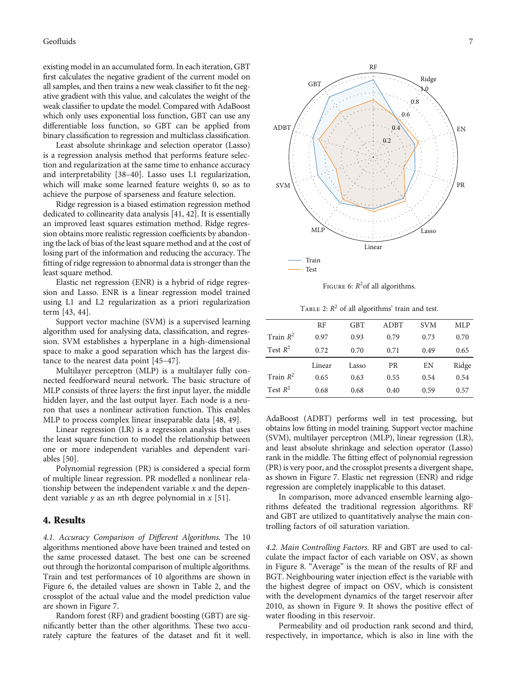<span id="page-6-0"></span>existing model in an accumulated form. In each iteration, GBT first calculates the negative gradient of the current model on all samples, and then trains a new weak classifier to fit the negative gradient with this value, and calculates the weight of the weak classifier to update the model. Compared with AdaBoost which only uses exponential loss function, GBT can use any differentiable loss function, so GBT can be applied from binary classification to regression and multiclass classification.

Least absolute shrinkage and selection operator (Lasso) is a regression analysis method that performs feature selection and regularization at the same time to enhance accuracy and interpretability [[38](#page-10-0)–[40](#page-10-0)]. Lasso uses L1 regularization, which will make some learned feature weights 0, so as to achieve the purpose of sparseness and feature selection.

Ridge regression is a biased estimation regression method dedicated to collinearity data analysis [\[41, 42\]](#page-10-0). It is essentially an improved least squares estimation method. Ridge regression obtains more realistic regression coefficients by abandoning the lack of bias of the least square method and at the cost of losing part of the information and reducing the accuracy. The fitting of ridge regression to abnormal data is stronger than the least square method.

Elastic net regression (ENR) is a hybrid of ridge regression and Lasso. ENR is a linear regression model trained using L1 and L2 regularization as a priori regularization term [\[43](#page-10-0), [44\]](#page-11-0).

Support vector machine (SVM) is a supervised learning algorithm used for analysing data, classification, and regression. SVM establishes a hyperplane in a high-dimensional space to make a good separation which has the largest distance to the nearest data point [[45](#page-11-0)–[47](#page-11-0)].

Multilayer perceptron (MLP) is a multilayer fully connected feedforward neural network. The basic structure of MLP consists of three layers: the first input layer, the middle hidden layer, and the last output layer. Each node is a neuron that uses a nonlinear activation function. This enables MLP to process complex linear inseparable data [[48](#page-11-0), [49\]](#page-11-0).

Linear regression (LR) is a regression analysis that uses the least square function to model the relationship between one or more independent variables and dependent variables [\[50\]](#page-11-0).

Polynomial regression (PR) is considered a special form of multiple linear regression. PR modelled a nonlinear relationship between the independent variable *x* and the dependent variable *y* as an *n*th degree polynomial in *x* [[51](#page-11-0)].

#### 4. Results

4.1. Accuracy Comparison of Different Algorithms. The 10 algorithms mentioned above have been trained and tested on the same processed dataset. The best one can be screened out through the horizontal comparison of multiple algorithms. Train and test performances of 10 algorithms are shown in Figure 6, the detailed values are shown in Table 2, and the crossplot of the actual value and the model prediction value are shown in Figure [7.](#page-7-0)

Random forest (RF) and gradient boosting (GBT) are significantly better than the other algorithms. These two accurately capture the features of the dataset and fit it well.



FIGURE 6:  $R^2$  of all algorithms.

TABLE 2:  $R^2$  of all algorithms' train and test.

|             | RF     | <b>GBT</b> | <b>ADBT</b> | <b>SVM</b> | MLP   |
|-------------|--------|------------|-------------|------------|-------|
| Train $R^2$ | 0.97   | 0.93       | 0.79        | 0.73       | 0.70  |
| Test $R^2$  | 0.72   | 0.70       | 0.71        | 0.49       | 0.65  |
|             | Linear | Lasso      | <b>PR</b>   | EN         | Ridge |
| Train $R^2$ | 0.65   | 0.63       | 0.55        | 0.54       | 0.54  |
| Test $R^2$  | 0.68   | 0.68       | 0.40        | 0.59       | 0.57  |

AdaBoost (ADBT) performs well in test processing, but obtains low fitting in model training. Support vector machine (SVM), multilayer perceptron (MLP), linear regression (LR), and least absolute shrinkage and selection operator (Lasso) rank in the middle. The fitting effect of polynomial regression (PR) is very poor, and the crossplot presents a divergent shape, as shown in Figure [7](#page-7-0). Elastic net regression (ENR) and ridge regression are completely inapplicable to this dataset.

In comparison, more advanced ensemble learning algorithms defeated the traditional regression algorithms. RF and GBT are utilized to quantitatively analyse the main controlling factors of oil saturation variation.

4.2. Main Controlling Factors. RF and GBT are used to calculate the impact factor of each variable on OSV, as shown in Figure [8.](#page-8-0) "Average" is the mean of the results of RF and BGT. Neighbouring water injection effect is the variable with the highest degree of impact on OSV, which is consistent with the development dynamics of the target reservoir after 2010, as shown in Figure [9.](#page-8-0) It shows the positive effect of water flooding in this reservoir.

Permeability and oil production rank second and third, respectively, in importance, which is also in line with the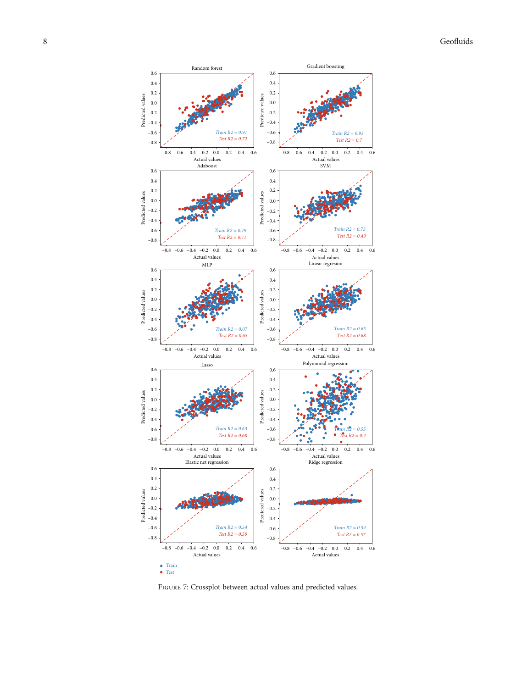<span id="page-7-0"></span>

Figure 7: Crossplot between actual values and predicted values.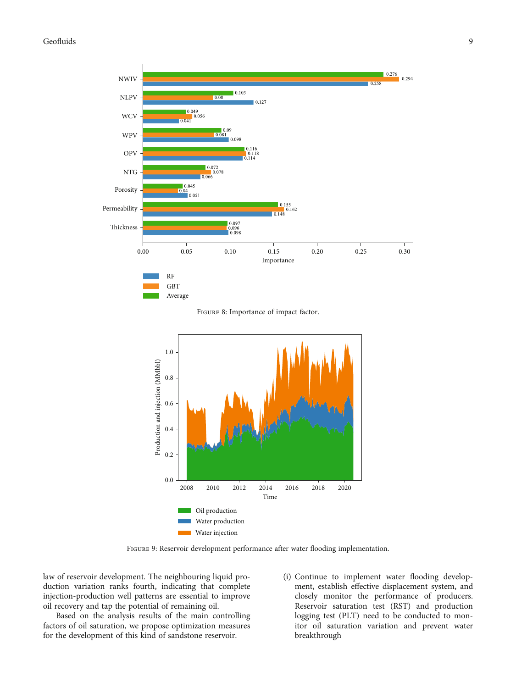## <span id="page-8-0"></span>Geofluids 9

![](_page_8_Figure_1.jpeg)

Figure 8: Importance of impact factor.

![](_page_8_Figure_3.jpeg)

FIGURE 9: Reservoir development performance after water flooding implementation.

law of reservoir development. The neighbouring liquid production variation ranks fourth, indicating that complete injection-production well patterns are essential to improve oil recovery and tap the potential of remaining oil.

Based on the analysis results of the main controlling factors of oil saturation, we propose optimization measures for the development of this kind of sandstone reservoir.

(i) Continue to implement water flooding development, establish effective displacement system, and closely monitor the performance of producers. Reservoir saturation test (RST) and production logging test (PLT) need to be conducted to monitor oil saturation variation and prevent water breakthrough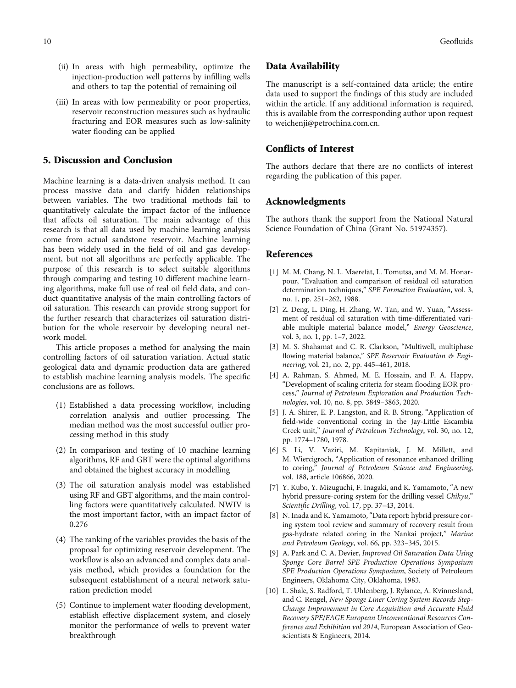- <span id="page-9-0"></span>(ii) In areas with high permeability, optimize the injection-production well patterns by infilling wells and others to tap the potential of remaining oil
- (iii) In areas with low permeability or poor properties, reservoir reconstruction measures such as hydraulic fracturing and EOR measures such as low-salinity water flooding can be applied

#### 5. Discussion and Conclusion

Machine learning is a data-driven analysis method. It can process massive data and clarify hidden relationships between variables. The two traditional methods fail to quantitatively calculate the impact factor of the influence that affects oil saturation. The main advantage of this research is that all data used by machine learning analysis come from actual sandstone reservoir. Machine learning has been widely used in the field of oil and gas development, but not all algorithms are perfectly applicable. The purpose of this research is to select suitable algorithms through comparing and testing 10 different machine learning algorithms, make full use of real oil field data, and conduct quantitative analysis of the main controlling factors of oil saturation. This research can provide strong support for the further research that characterizes oil saturation distribution for the whole reservoir by developing neural network model.

This article proposes a method for analysing the main controlling factors of oil saturation variation. Actual static geological data and dynamic production data are gathered to establish machine learning analysis models. The specific conclusions are as follows.

- (1) Established a data processing workflow, including correlation analysis and outlier processing. The median method was the most successful outlier processing method in this study
- (2) In comparison and testing of 10 machine learning algorithms, RF and GBT were the optimal algorithms and obtained the highest accuracy in modelling
- (3) The oil saturation analysis model was established using RF and GBT algorithms, and the main controlling factors were quantitatively calculated. NWIV is the most important factor, with an impact factor of 0.276
- (4) The ranking of the variables provides the basis of the proposal for optimizing reservoir development. The workflow is also an advanced and complex data analysis method, which provides a foundation for the subsequent establishment of a neural network saturation prediction model
- (5) Continue to implement water flooding development, establish effective displacement system, and closely monitor the performance of wells to prevent water breakthrough

#### Data Availability

The manuscript is a self-contained data article; the entire data used to support the findings of this study are included within the article. If any additional information is required, this is available from the corresponding author upon request to [weichenji@petrochina.com.cn.](mailto:weichenji@petrochina.com.cn)

#### Conflicts of Interest

The authors declare that there are no conflicts of interest regarding the publication of this paper.

#### Acknowledgments

The authors thank the support from the National Natural Science Foundation of China (Grant No. 51974357).

#### References

- [1] M. M. Chang, N. L. Maerefat, L. Tomutsa, and M. M. Honarpour, "Evaluation and comparison of residual oil saturation determination techniques," SPE Formation Evaluation, vol. 3, no. 1, pp. 251–262, 1988.
- [2] Z. Deng, L. Ding, H. Zhang, W. Tan, and W. Yuan, "Assessment of residual oil saturation with time-differentiated variable multiple material balance model," Energy Geoscience, vol. 3, no. 1, pp. 1–7, 2022.
- [3] M. S. Shahamat and C. R. Clarkson, "Multiwell, multiphase flowing material balance," SPE Reservoir Evaluation & Engineering, vol. 21, no. 2, pp. 445–461, 2018.
- [4] A. Rahman, S. Ahmed, M. E. Hossain, and F. A. Happy, "Development of scaling criteria for steam flooding EOR process," Journal of Petroleum Exploration and Production Technologies, vol. 10, no. 8, pp. 3849–3863, 2020.
- [5] J. A. Shirer, E. P. Langston, and R. B. Strong, "Application of field-wide conventional coring in the Jay-Little Escambia Creek unit," Journal of Petroleum Technology, vol. 30, no. 12, pp. 1774–1780, 1978.
- [6] S. Li, V. Vaziri, M. Kapitaniak, J. M. Millett, and M. Wiercigroch, "Application of resonance enhanced drilling to coring," Journal of Petroleum Science and Engineering, vol. 188, article 106866, 2020.
- [7] Y. Kubo, Y. Mizuguchi, F. Inagaki, and K. Yamamoto, "A new hybrid pressure-coring system for the drilling vessel Chikyu," Scientific Drilling, vol. 17, pp. 37–43, 2014.
- [8] N. Inada and K. Yamamoto, "Data report: hybrid pressure coring system tool review and summary of recovery result from gas-hydrate related coring in the Nankai project," Marine and Petroleum Geology, vol. 66, pp. 323–345, 2015.
- [9] A. Park and C. A. Devier, Improved Oil Saturation Data Using Sponge Core Barrel SPE Production Operations Symposium SPE Production Operations Symposium, Society of Petroleum Engineers, Oklahoma City, Oklahoma, 1983.
- [10] L. Shale, S. Radford, T. Uhlenberg, J. Rylance, A. Kvinnesland, and C. Rengel, New Sponge Liner Coring System Records Step-Change Improvement in Core Acquisition and Accurate Fluid Recovery SPE/EAGE European Unconventional Resources Conference and Exhibition vol 2014, European Association of Geoscientists & Engineers, 2014.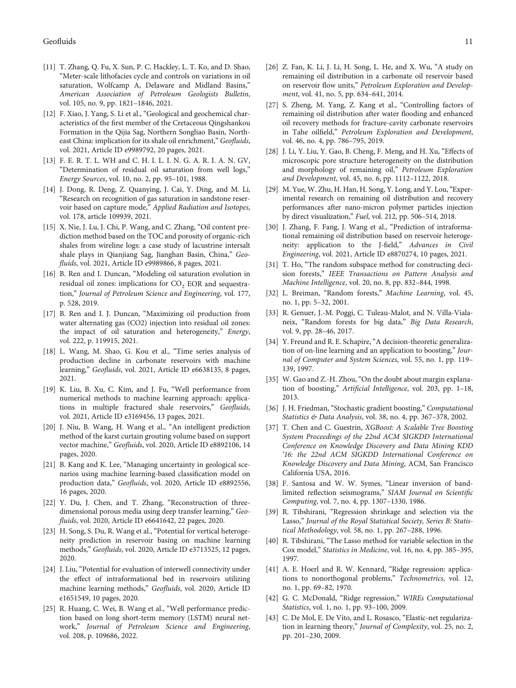- <span id="page-10-0"></span>[11] T. Zhang, Q. Fu, X. Sun, P. C. Hackley, L. T. Ko, and D. Shao, "Meter-scale lithofacies cycle and controls on variations in oil saturation, Wolfcamp A, Delaware and Midland Basins," American Association of Petroleum Geologists Bulletin, vol. 105, no. 9, pp. 1821–1846, 2021.
- [12] F. Xiao, J. Yang, S. Li et al., "Geological and geochemical characteristics of the first member of the Cretaceous Qingshankou Formation in the Qijia Sag, Northern Songliao Basin, Northeast China: implication for its shale oil enrichment," Geofluids, vol. 2021, Article ID e9989792, 20 pages, 2021.
- [13] F. E. R. T. L. WH and C. H. I. L. I. N. G. A. R. I. A. N. GV, "Determination of residual oil saturation from well logs," Energy Sources, vol. 10, no. 2, pp. 95–101, 1988.
- [14] J. Dong, R. Deng, Z. Quanying, J. Cai, Y. Ding, and M. Li, "Research on recognition of gas saturation in sandstone reservoir based on capture mode," Applied Radiation and Isotopes, vol. 178, article 109939, 2021.
- [15] X. Nie, J. Lu, J. Chi, P. Wang, and C. Zhang, "Oil content prediction method based on the TOC and porosity of organic-rich shales from wireline logs: a case study of lacustrine intersalt shale plays in Qianjiang Sag, Jianghan Basin, China," Geofluids, vol. 2021, Article ID e9989866, 8 pages, 2021.
- [16] B. Ren and I. Duncan, "Modeling oil saturation evolution in residual oil zones: implications for  $CO<sub>2</sub>$  EOR and sequestration," Journal of Petroleum Science and Engineering, vol. 177, p. 528, 2019.
- [17] B. Ren and I. J. Duncan, "Maximizing oil production from water alternating gas (CO2) injection into residual oil zones: the impact of oil saturation and heterogeneity," Energy, vol. 222, p. 119915, 2021.
- [18] L. Wang, M. Shao, G. Kou et al., "Time series analysis of production decline in carbonate reservoirs with machine learning," Geofluids, vol. 2021, Article ID e6638135, 8 pages, 2021.
- [19] K. Liu, B. Xu, C. Kim, and J. Fu, "Well performance from numerical methods to machine learning approach: applications in multiple fractured shale reservoirs," Geofluids, vol. 2021, Article ID e3169456, 13 pages, 2021.
- [20] J. Niu, B. Wang, H. Wang et al., "An intelligent prediction method of the karst curtain grouting volume based on support vector machine," Geofluids, vol. 2020, Article ID e8892106, 14 pages, 2020.
- [21] B. Kang and K. Lee, "Managing uncertainty in geological scenarios using machine learning-based classification model on production data," Geofluids, vol. 2020, Article ID e8892556, 16 pages, 2020.
- [22] Y. Du, J. Chen, and T. Zhang, "Reconstruction of threedimensional porous media using deep transfer learning," Geofluids, vol. 2020, Article ID e6641642, 22 pages, 2020.
- [23] H. Song, S. Du, R. Wang et al., "Potential for vertical heterogeneity prediction in reservoir basing on machine learning methods," Geofluids, vol. 2020, Article ID e3713525, 12 pages, 2020.
- [24] J. Liu, "Potential for evaluation of interwell connectivity under the effect of intraformational bed in reservoirs utilizing machine learning methods," Geofluids, vol. 2020, Article ID e1651549, 10 pages, 2020.
- [25] R. Huang, C. Wei, B. Wang et al., "Well performance prediction based on long short-term memory (LSTM) neural network," Journal of Petroleum Science and Engineering, vol. 208, p. 109686, 2022.
- [26] Z. Fan, K. Li, J. Li, H. Song, L. He, and X. Wu, "A study on remaining oil distribution in a carbonate oil reservoir based on reservoir flow units," Petroleum Exploration and Development, vol. 41, no. 5, pp. 634–641, 2014.
- [27] S. Zheng, M. Yang, Z. Kang et al., "Controlling factors of remaining oil distribution after water flooding and enhanced oil recovery methods for fracture-cavity carbonate reservoirs in Tahe oilfield," Petroleum Exploration and Development, vol. 46, no. 4, pp. 786–795, 2019.
- [28] J. Li, Y. Liu, Y. Gao, B. Cheng, F. Meng, and H. Xu, "Effects of microscopic pore structure heterogeneity on the distribution and morphology of remaining oil," Petroleum Exploration and Development, vol. 45, no. 6, pp. 1112–1122, 2018.
- [29] M. Yue, W. Zhu, H. Han, H. Song, Y. Long, and Y. Lou,"Experimental research on remaining oil distribution and recovery performances after nano-micron polymer particles injection by direct visualization," Fuel, vol. 212, pp. 506–514, 2018.
- [30] J. Zhang, F. Fang, J. Wang et al., "Prediction of intraformational remaining oil distribution based on reservoir heterogeneity: application to the J-field," Advances in Civil Engineering, vol. 2021, Article ID e8870274, 10 pages, 2021.
- [31] T. Ho, "The random subspace method for constructing decision forests," IEEE Transactions on Pattern Analysis and Machine Intelligence, vol. 20, no. 8, pp. 832–844, 1998.
- [32] L. Breiman, "Random forests," Machine Learning, vol. 45, no. 1, pp. 5–32, 2001.
- [33] R. Genuer, J.-M. Poggi, C. Tuleau-Malot, and N. Villa-Vialaneix, "Random forests for big data," Big Data Research, vol. 9, pp. 28–46, 2017.
- [34] Y. Freund and R. E. Schapire, "A decision-theoretic generalization of on-line learning and an application to boosting," Journal of Computer and System Sciences, vol. 55, no. 1, pp. 119– 139, 1997.
- [35] W. Gao and Z.-H. Zhou, "On the doubt about margin explanation of boosting," Artificial Intelligence, vol. 203, pp. 1–18, 2013.
- [36] J. H. Friedman, "Stochastic gradient boosting," Computational Statistics & Data Analysis, vol. 38, no. 4, pp. 367–378, 2002.
- [37] T. Chen and C. Guestrin, XGBoost: A Scalable Tree Boosting System Proceedings of the 22nd ACM SIGKDD International Conference on Knowledge Discovery and Data Mining KDD '16: the 22nd ACM SIGKDD International Conference on Knowledge Discovery and Data Mining, ACM, San Francisco California USA, 2016.
- [38] F. Santosa and W. W. Symes, "Linear inversion of bandlimited reflection seismograms," SIAM Journal on Scientific Computing, vol. 7, no. 4, pp. 1307–1330, 1986.
- [39] R. Tibshirani, "Regression shrinkage and selection via the Lasso," Journal of the Royal Statistical Society, Series B: Statistical Methodology, vol. 58, no. 1, pp. 267–288, 1996.
- [40] R. Tibshirani, "The Lasso method for variable selection in the Cox model," Statistics in Medicine, vol. 16, no. 4, pp. 385–395, 1997.
- [41] A. E. Hoerl and R. W. Kennard, "Ridge regression: applications to nonorthogonal problems," Technometrics, vol. 12, no. 1, pp. 69–82, 1970.
- [42] G. C. McDonald, "Ridge regression," WIREs Computational Statistics, vol. 1, no. 1, pp. 93–100, 2009.
- [43] C. De Mol, E. De Vito, and L. Rosasco, "Elastic-net regularization in learning theory," Journal of Complexity, vol. 25, no. 2, pp. 201–230, 2009.